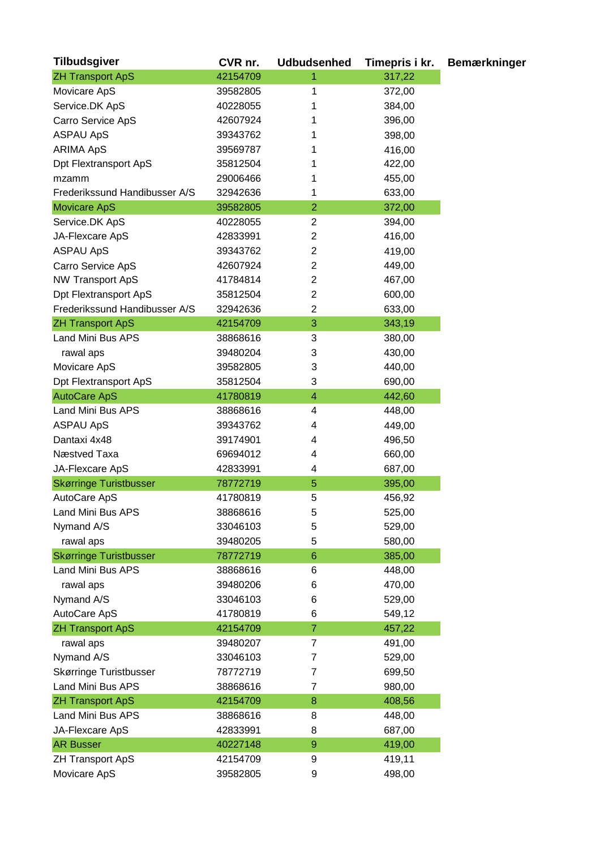| <b>Tilbudsgiver</b>           | CVR nr.  | <b>Udbudsenhed</b>       | Timepris i kr. | <b>Bemærkninger</b> |
|-------------------------------|----------|--------------------------|----------------|---------------------|
| <b>ZH Transport ApS</b>       | 42154709 | 1                        | 317,22         |                     |
| Movicare ApS                  | 39582805 | 1                        | 372,00         |                     |
| Service.DK ApS                | 40228055 | 1                        | 384,00         |                     |
| Carro Service ApS             | 42607924 | 1                        | 396,00         |                     |
| <b>ASPAU ApS</b>              | 39343762 | 1                        | 398,00         |                     |
| <b>ARIMA ApS</b>              | 39569787 | 1                        | 416,00         |                     |
| <b>Dpt Flextransport ApS</b>  | 35812504 | 1                        | 422,00         |                     |
| mzamm                         | 29006466 | 1                        | 455,00         |                     |
| Frederikssund Handibusser A/S | 32942636 | 1                        | 633,00         |                     |
| <b>Movicare ApS</b>           | 39582805 | $\overline{2}$           | 372,00         |                     |
| Service.DK ApS                | 40228055 | $\overline{c}$           | 394,00         |                     |
| JA-Flexcare ApS               | 42833991 | 2                        | 416,00         |                     |
| <b>ASPAU ApS</b>              | 39343762 | $\overline{2}$           | 419,00         |                     |
| Carro Service ApS             | 42607924 | 2                        | 449,00         |                     |
| <b>NW Transport ApS</b>       | 41784814 | $\overline{2}$           | 467,00         |                     |
| <b>Dpt Flextransport ApS</b>  | 35812504 | $\overline{2}$           | 600,00         |                     |
| Frederikssund Handibusser A/S | 32942636 | $\overline{2}$           | 633,00         |                     |
| <b>ZH Transport ApS</b>       | 42154709 | 3                        | 343,19         |                     |
| Land Mini Bus APS             | 38868616 | 3                        | 380,00         |                     |
| rawal aps                     | 39480204 | 3                        | 430,00         |                     |
| Movicare ApS                  | 39582805 | 3                        | 440,00         |                     |
| <b>Dpt Flextransport ApS</b>  | 35812504 | 3                        | 690,00         |                     |
| <b>AutoCare ApS</b>           | 41780819 | $\overline{\mathcal{A}}$ | 442,60         |                     |
| Land Mini Bus APS             | 38868616 | 4                        |                |                     |
|                               |          | 4                        | 448,00         |                     |
| <b>ASPAU ApS</b>              | 39343762 |                          | 449,00         |                     |
| Dantaxi 4x48                  | 39174901 | 4                        | 496,50         |                     |
| Næstved Taxa                  | 69694012 | 4                        | 660,00         |                     |
| JA-Flexcare ApS               | 42833991 | 4                        | 687,00         |                     |
| <b>Skørringe Turistbusser</b> | 78772719 | 5                        | 395,00         |                     |
| AutoCare ApS                  | 41780819 | 5                        | 456,92         |                     |
| Land Mini Bus APS             | 38868616 | 5                        | 525,00         |                     |
| Nymand A/S                    | 33046103 | 5                        | 529,00         |                     |
| rawal aps                     | 39480205 | 5                        | 580,00         |                     |
| <b>Skørringe Turistbusser</b> | 78772719 | $6\phantom{1}$           | 385,00         |                     |
| Land Mini Bus APS             | 38868616 | 6                        | 448,00         |                     |
| rawal aps                     | 39480206 | 6                        | 470,00         |                     |
| Nymand A/S                    | 33046103 | 6                        | 529,00         |                     |
| AutoCare ApS                  | 41780819 | 6                        | 549,12         |                     |
| <b>ZH Transport ApS</b>       | 42154709 | $\overline{7}$           | 457,22         |                     |
| rawal aps                     | 39480207 | 7                        | 491,00         |                     |
| Nymand A/S                    | 33046103 | 7                        | 529,00         |                     |
| Skørringe Turistbusser        | 78772719 | 7                        | 699,50         |                     |
| Land Mini Bus APS             | 38868616 | 7                        | 980,00         |                     |
| <b>ZH Transport ApS</b>       | 42154709 | 8                        | 408,56         |                     |
| Land Mini Bus APS             | 38868616 | 8                        | 448,00         |                     |
| JA-Flexcare ApS               | 42833991 | 8                        | 687,00         |                     |
| <b>AR Busser</b>              | 40227148 | $\mathsf g$              | 419,00         |                     |
| <b>ZH Transport ApS</b>       | 42154709 | 9                        | 419,11         |                     |
| Movicare ApS                  | 39582805 | 9                        | 498,00         |                     |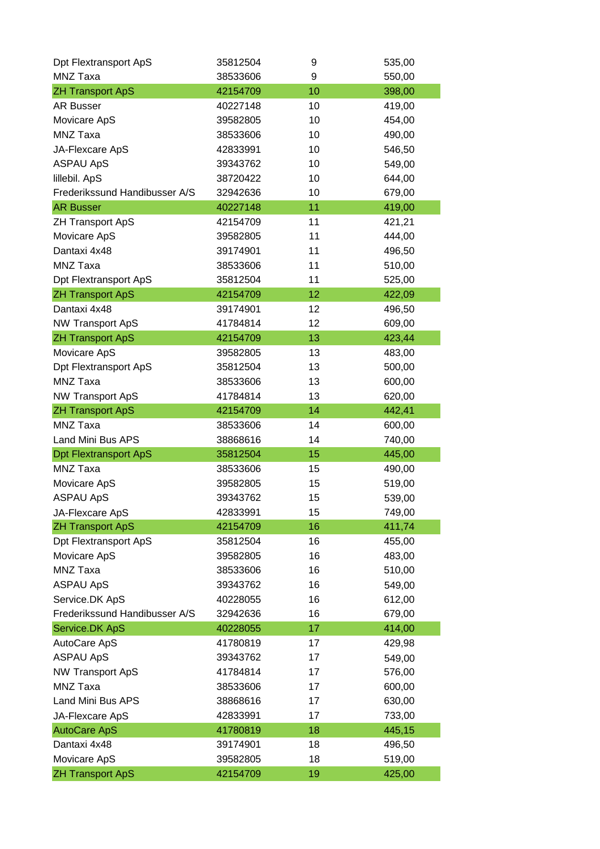| Dpt Flextransport ApS         | 35812504 | 9  | 535,00 |
|-------------------------------|----------|----|--------|
| MNZ Taxa                      | 38533606 | 9  | 550,00 |
| <b>ZH Transport ApS</b>       | 42154709 | 10 | 398,00 |
| <b>AR Busser</b>              | 40227148 | 10 | 419,00 |
| Movicare ApS                  | 39582805 | 10 | 454,00 |
| MNZ Taxa                      | 38533606 | 10 | 490,00 |
| JA-Flexcare ApS               | 42833991 | 10 | 546,50 |
| <b>ASPAU ApS</b>              | 39343762 | 10 | 549,00 |
| lillebil. ApS                 | 38720422 | 10 | 644,00 |
| Frederikssund Handibusser A/S | 32942636 | 10 | 679,00 |
| <b>AR Busser</b>              | 40227148 | 11 | 419,00 |
| <b>ZH Transport ApS</b>       | 42154709 | 11 | 421,21 |
| Movicare ApS                  | 39582805 | 11 | 444,00 |
| Dantaxi 4x48                  | 39174901 | 11 | 496,50 |
| MNZ Taxa                      | 38533606 | 11 | 510,00 |
| Dpt Flextransport ApS         | 35812504 | 11 | 525,00 |
| <b>ZH Transport ApS</b>       | 42154709 | 12 | 422,09 |
| Dantaxi 4x48                  | 39174901 | 12 | 496,50 |
| <b>NW Transport ApS</b>       | 41784814 | 12 | 609,00 |
| <b>ZH Transport ApS</b>       | 42154709 | 13 | 423,44 |
| Movicare ApS                  | 39582805 | 13 | 483,00 |
| Dpt Flextransport ApS         | 35812504 | 13 | 500,00 |
| MNZ Taxa                      | 38533606 | 13 | 600,00 |
| <b>NW Transport ApS</b>       | 41784814 | 13 | 620,00 |
| <b>ZH Transport ApS</b>       | 42154709 | 14 | 442,41 |
| MNZ Taxa                      | 38533606 | 14 | 600,00 |
| Land Mini Bus APS             | 38868616 | 14 | 740,00 |
| <b>Dpt Flextransport ApS</b>  | 35812504 | 15 | 445,00 |
| MNZ Taxa                      | 38533606 | 15 | 490,00 |
| Movicare ApS                  | 39582805 | 15 | 519,00 |
| <b>ASPAU ApS</b>              | 39343762 | 15 | 539,00 |
| JA-Flexcare ApS               | 42833991 | 15 | 749,00 |
| <b>ZH Transport ApS</b>       | 42154709 | 16 | 411,74 |
| Dpt Flextransport ApS         | 35812504 | 16 | 455,00 |
| Movicare ApS                  | 39582805 | 16 | 483,00 |
| MNZ Taxa                      | 38533606 | 16 | 510,00 |
| <b>ASPAU ApS</b>              | 39343762 | 16 | 549,00 |
| Service.DK ApS                | 40228055 | 16 | 612,00 |
| Frederikssund Handibusser A/S | 32942636 | 16 | 679,00 |
| Service.DK ApS                | 40228055 | 17 | 414,00 |
| AutoCare ApS                  | 41780819 | 17 | 429,98 |
| <b>ASPAU ApS</b>              | 39343762 | 17 | 549,00 |
| <b>NW Transport ApS</b>       | 41784814 | 17 | 576,00 |
| MNZ Taxa                      | 38533606 | 17 | 600,00 |
| Land Mini Bus APS             | 38868616 | 17 | 630,00 |
| JA-Flexcare ApS               | 42833991 | 17 | 733,00 |
| <b>AutoCare ApS</b>           | 41780819 | 18 | 445,15 |
| Dantaxi 4x48                  | 39174901 | 18 | 496,50 |
| Movicare ApS                  | 39582805 | 18 | 519,00 |
| <b>ZH Transport ApS</b>       | 42154709 | 19 | 425,00 |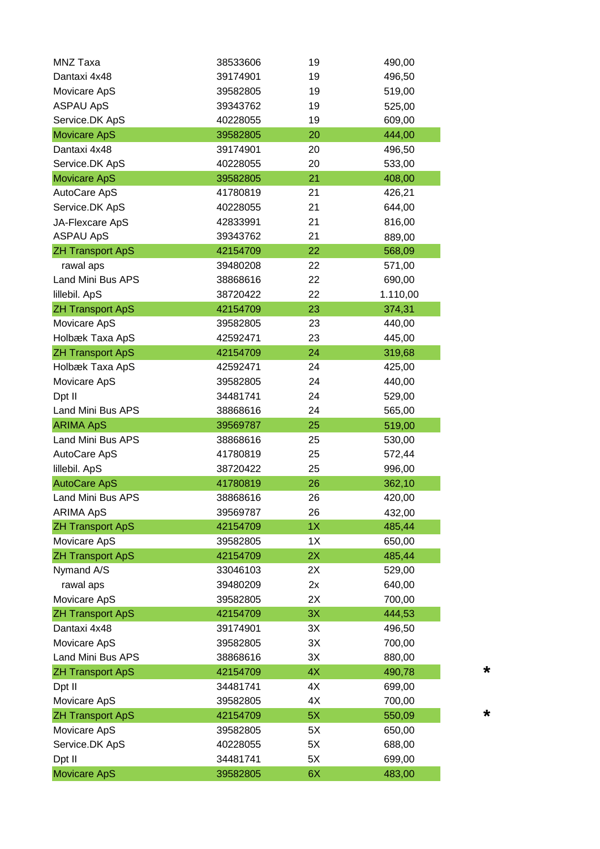| <b>MNZ Taxa</b>         | 38533606 | 19 | 490,00   |
|-------------------------|----------|----|----------|
| Dantaxi 4x48            | 39174901 | 19 | 496,50   |
| Movicare ApS            | 39582805 | 19 | 519,00   |
| <b>ASPAU ApS</b>        | 39343762 | 19 | 525,00   |
| Service.DK ApS          | 40228055 | 19 | 609,00   |
| <b>Movicare ApS</b>     | 39582805 | 20 | 444,00   |
| Dantaxi 4x48            | 39174901 | 20 | 496,50   |
| Service.DK ApS          | 40228055 | 20 | 533,00   |
| <b>Movicare ApS</b>     | 39582805 | 21 | 408,00   |
| AutoCare ApS            | 41780819 | 21 | 426,21   |
| Service.DK ApS          | 40228055 | 21 | 644,00   |
| JA-Flexcare ApS         | 42833991 | 21 | 816,00   |
| <b>ASPAU ApS</b>        | 39343762 | 21 | 889,00   |
| <b>ZH Transport ApS</b> | 42154709 | 22 | 568,09   |
| rawal aps               | 39480208 | 22 | 571,00   |
| Land Mini Bus APS       | 38868616 | 22 | 690,00   |
| lillebil. ApS           | 38720422 | 22 | 1.110,00 |
| <b>ZH Transport ApS</b> | 42154709 | 23 | 374,31   |
| Movicare ApS            | 39582805 | 23 | 440,00   |
| Holbæk Taxa ApS         | 42592471 | 23 | 445,00   |
| <b>ZH Transport ApS</b> | 42154709 | 24 | 319,68   |
| Holbæk Taxa ApS         | 42592471 | 24 | 425,00   |
| Movicare ApS            | 39582805 | 24 | 440,00   |
| Dpt II                  | 34481741 | 24 | 529,00   |
| Land Mini Bus APS       | 38868616 | 24 | 565,00   |
| <b>ARIMA ApS</b>        | 39569787 | 25 | 519,00   |
| Land Mini Bus APS       | 38868616 | 25 | 530,00   |
| AutoCare ApS            | 41780819 | 25 | 572,44   |
| lillebil. ApS           | 38720422 | 25 | 996,00   |
| <b>AutoCare ApS</b>     | 41780819 | 26 | 362,10   |
| Land Mini Bus APS       | 38868616 | 26 | 420,00   |
| <b>ARIMA ApS</b>        | 39569787 | 26 | 432,00   |
| <b>ZH Transport ApS</b> | 42154709 | 1X | 485,44   |
| Movicare ApS            | 39582805 | 1X | 650,00   |
| <b>ZH Transport ApS</b> | 42154709 | 2X | 485,44   |
| Nymand A/S              | 33046103 | 2X | 529,00   |
| rawal aps               | 39480209 | 2x | 640,00   |
| Movicare ApS            | 39582805 | 2X | 700,00   |
| <b>ZH Transport ApS</b> | 42154709 | 3X | 444,53   |
| Dantaxi 4x48            | 39174901 | 3X | 496,50   |
| Movicare ApS            | 39582805 | 3X | 700,00   |
| Land Mini Bus APS       | 38868616 | 3X | 880,00   |
| <b>ZH Transport ApS</b> | 42154709 | 4X | 490,78   |
| Dpt II                  | 34481741 | 4X | 699,00   |
| Movicare ApS            | 39582805 | 4X | 700,00   |
| <b>ZH Transport ApS</b> | 42154709 | 5X | 550,09   |
| Movicare ApS            | 39582805 | 5X | 650,00   |
| Service.DK ApS          | 40228055 | 5X | 688,00   |
| Dpt II                  | 34481741 | 5X | 699,00   |
| <b>Movicare ApS</b>     | 39582805 | 6X | 483,00   |
|                         |          |    |          |

**\***

**\***